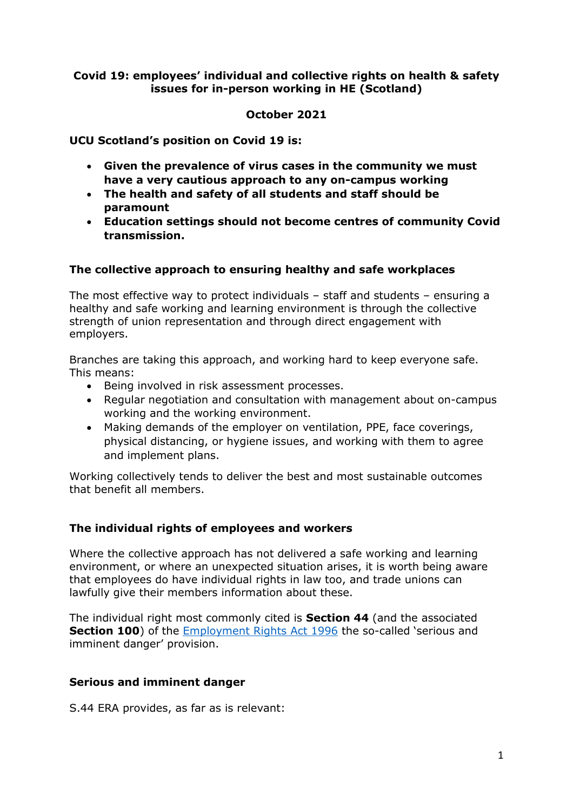## **Covid 19: employees' individual and collective rights on health & safety issues for in-person working in HE (Scotland)**

### **October 2021**

**UCU Scotland's position on Covid 19 is:**

- **Given the prevalence of virus cases in the community we must have a very cautious approach to any on-campus working**
- **The health and safety of all students and staff should be paramount**
- **Education settings should not become centres of community Covid transmission.**

### **The collective approach to ensuring healthy and safe workplaces**

The most effective way to protect individuals – staff and students – ensuring a healthy and safe working and learning environment is through the collective strength of union representation and through direct engagement with employers.

Branches are taking this approach, and working hard to keep everyone safe. This means:

- Being involved in risk assessment processes.
- Regular negotiation and consultation with management about on-campus working and the working environment.
- Making demands of the employer on ventilation, PPE, face coverings, physical distancing, or hygiene issues, and working with them to agree and implement plans.

Working collectively tends to deliver the best and most sustainable outcomes that benefit all members.

## **The individual rights of employees and workers**

Where the collective approach has not delivered a safe working and learning environment, or where an unexpected situation arises, it is worth being aware that employees do have individual rights in law too, and trade unions can lawfully give their members information about these.

The individual right most commonly cited is **Section 44** (and the associated **Section 100**) of the [Employment Rights Act 1996](http://www.legislation.gov.uk/ukpga/1996/18/contents) the so-called 'serious and imminent danger' provision.

#### **Serious and imminent danger**

S.44 ERA provides, as far as is relevant: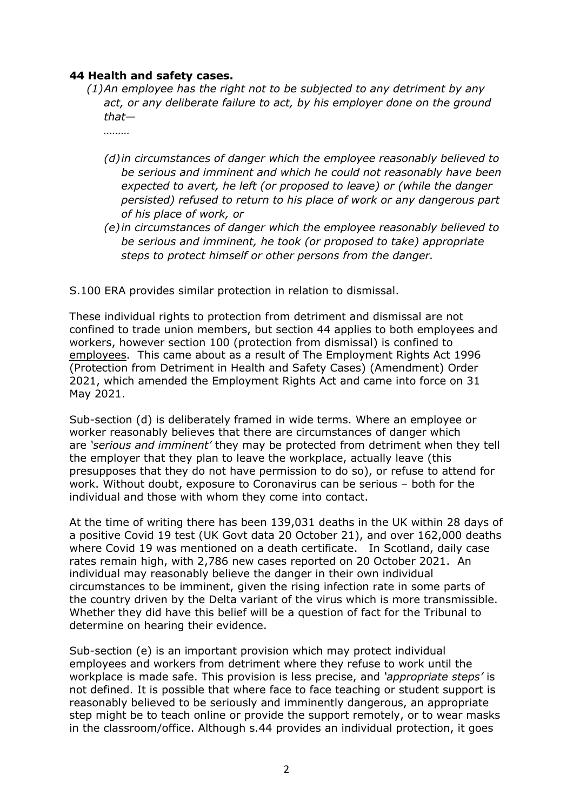## **44 Health and safety cases.**

*(1)An employee has the right not to be subjected to any detriment by any act, or any deliberate failure to act, by his employer done on the ground that—*

*………*

- *(d)in circumstances of danger which the employee reasonably believed to be serious and imminent and which he could not reasonably have been expected to avert, he left (or proposed to leave) or (while the danger persisted) refused to return to his place of work or any dangerous part of his place of work, or*
- *(e) in circumstances of danger which the employee reasonably believed to be serious and imminent, he took (or proposed to take) appropriate steps to protect himself or other persons from the danger.*

S.100 ERA provides similar protection in relation to dismissal.

These individual rights to protection from detriment and dismissal are not confined to trade union members, but section 44 applies to both employees and workers, however section 100 (protection from dismissal) is confined to employees. This came about as a result of The Employment Rights Act 1996 (Protection from Detriment in Health and Safety Cases) (Amendment) Order 2021, which amended the Employment Rights Act and came into force on 31 May 2021.

Sub-section (d) is deliberately framed in wide terms. Where an employee or worker reasonably believes that there are circumstances of danger which are *'serious and imminent'* they may be protected from detriment when they tell the employer that they plan to leave the workplace, actually leave (this presupposes that they do not have permission to do so), or refuse to attend for work. Without doubt, exposure to Coronavirus can be serious – both for the individual and those with whom they come into contact.

At the time of writing there has been 139,031 deaths in the UK within 28 days of a positive Covid 19 test (UK Govt data 20 October 21), and over 162,000 deaths where Covid 19 was mentioned on a death certificate. In Scotland, daily case rates remain high, with 2,786 new cases reported on 20 October 2021. An individual may reasonably believe the danger in their own individual circumstances to be imminent, given the rising infection rate in some parts of the country driven by the Delta variant of the virus which is more transmissible. Whether they did have this belief will be a question of fact for the Tribunal to determine on hearing their evidence.

Sub-section (e) is an important provision which may protect individual employees and workers from detriment where they refuse to work until the workplace is made safe. This provision is less precise, and *'appropriate steps'* is not defined. It is possible that where face to face teaching or student support is reasonably believed to be seriously and imminently dangerous, an appropriate step might be to teach online or provide the support remotely, or to wear masks in the classroom/office. Although s.44 provides an individual protection, it goes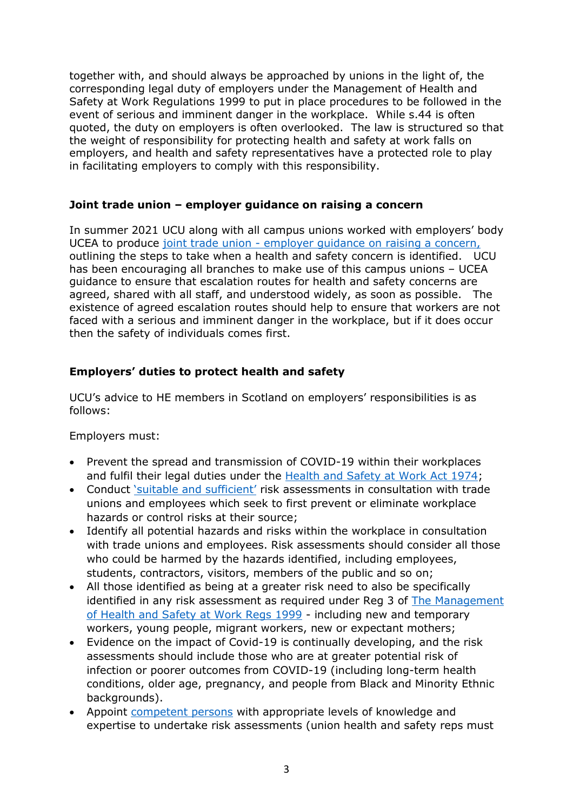together with, and should always be approached by unions in the light of, the corresponding legal duty of employers under the Management of Health and Safety at Work Regulations 1999 to put in place procedures to be followed in the event of serious and imminent danger in the workplace. While s.44 is often quoted, the duty on employers is often overlooked. The law is structured so that the weight of responsibility for protecting health and safety at work falls on employers, and health and safety representatives have a protected role to play in facilitating employers to comply with this responsibility.

## **Joint trade union – employer guidance on raising a concern**

In summer 2021 UCU along with all campus unions worked with employers' body UCEA to produce joint trade union - [employer guidance on raising a concern,](https://www.ucea.ac.uk/library/publications/principles-for-working-safely-on-campus-during-the-coronavirus-covid-19-pandemic/) outlining the steps to take when a health and safety concern is identified. UCU has been encouraging all branches to make use of this campus unions – UCEA guidance to ensure that escalation routes for health and safety concerns are agreed, shared with all staff, and understood widely, as soon as possible. The existence of agreed escalation routes should help to ensure that workers are not faced with a serious and imminent danger in the workplace, but if it does occur then the safety of individuals comes first.

# **Employers' duties to protect health and safety**

UCU's advice to HE members in Scotland on employers' responsibilities is as follows:

Employers must:

- Prevent the spread and transmission of COVID-19 within their workplaces and fulfil their legal duties under the [Health and Safety at Work Act 1974;](http://www.legislation.gov.uk/ukpga/1974/37/contents)
- Conduct ['suitable and sufficient'](https://www.hse.gov.uk/managing/delivering/do/profiling/the-law.htm) risk assessments in consultation with trade unions and employees which seek to first prevent or eliminate workplace hazards or control risks at their source;
- Identify all potential hazards and risks within the workplace in consultation with trade unions and employees. Risk assessments should consider all those who could be harmed by the hazards identified, including employees, students, contractors, visitors, members of the public and so on;
- All those identified as being at a greater risk need to also be specifically identified in any risk assessment as required under Reg 3 of The Management [of Health and Safety at Work Regs 1999](http://www.legislation.gov.uk/uksi/1999/3242/contents/made) - including new and temporary workers, young people, migrant workers, new or expectant mothers;
- Evidence on the impact of Covid-19 is continually developing, and the risk assessments should include those who are at greater potential risk of infection or poorer outcomes from COVID-19 (including long-term health conditions, older age, pregnancy, and people from Black and Minority Ethnic backgrounds).
- Appoint [competent persons](https://www.hse.gov.uk/involvement/competentperson.htm) with appropriate levels of knowledge and expertise to undertake risk assessments (union health and safety reps must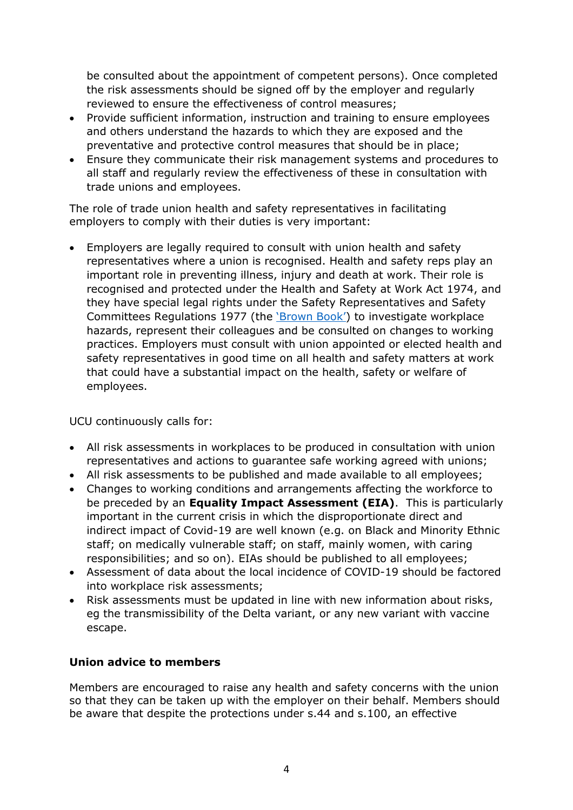be consulted about the appointment of competent persons). Once completed the risk assessments should be signed off by the employer and regularly reviewed to ensure the effectiveness of control measures;

- Provide sufficient information, instruction and training to ensure employees and others understand the hazards to which they are exposed and the preventative and protective control measures that should be in place;
- Ensure they communicate their risk management systems and procedures to all staff and regularly review the effectiveness of these in consultation with trade unions and employees.

The role of trade union health and safety representatives in facilitating employers to comply with their duties is very important:

• Employers are legally required to consult with union health and safety representatives where a union is recognised. Health and safety reps play an important role in preventing illness, injury and death at work. Their role is recognised and protected under the Health and Safety at Work Act 1974, and they have special legal rights under the Safety Representatives and Safety Committees Regulations 1977 (the ['Brown Book'](https://www.tuc.org.uk/sites/default/files/BrownBook2015.pdf)) to investigate workplace hazards, represent their colleagues and be consulted on changes to working practices. Employers must consult with union appointed or elected health and safety representatives in good time on all health and safety matters at work that could have a substantial impact on the health, safety or welfare of employees.

UCU continuously calls for:

- All risk assessments in workplaces to be produced in consultation with union representatives and actions to guarantee safe working agreed with unions;
- All risk assessments to be published and made available to all employees;
- Changes to working conditions and arrangements affecting the workforce to be preceded by an **Equality Impact Assessment (EIA)**. This is particularly important in the current crisis in which the disproportionate direct and indirect impact of Covid-19 are well known (e.g. on Black and Minority Ethnic staff; on medically vulnerable staff; on staff, mainly women, with caring responsibilities; and so on). EIAs should be published to all employees;
- Assessment of data about the local incidence of COVID-19 should be factored into workplace risk assessments;
- Risk assessments must be updated in line with new information about risks, eg the transmissibility of the Delta variant, or any new variant with vaccine escape.

# **Union advice to members**

Members are encouraged to raise any health and safety concerns with the union so that they can be taken up with the employer on their behalf. Members should be aware that despite the protections under s.44 and s.100, an effective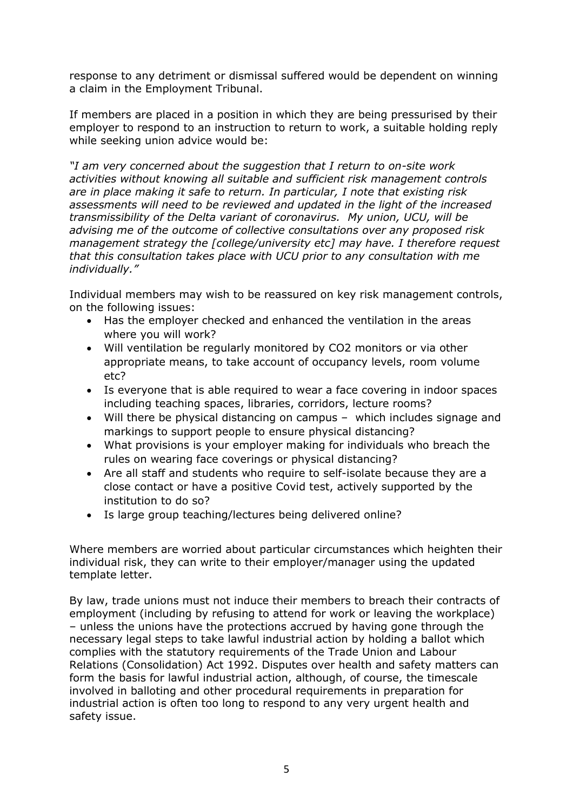response to any detriment or dismissal suffered would be dependent on winning a claim in the Employment Tribunal.

If members are placed in a position in which they are being pressurised by their employer to respond to an instruction to return to work, a suitable holding reply while seeking union advice would be:

*"I am very concerned about the suggestion that I return to on-site work activities without knowing all suitable and sufficient risk management controls are in place making it safe to return. In particular, I note that existing risk assessments will need to be reviewed and updated in the light of the increased transmissibility of the Delta variant of coronavirus. My union, UCU, will be advising me of the outcome of collective consultations over any proposed risk management strategy the [college/university etc] may have. I therefore request that this consultation takes place with UCU prior to any consultation with me individually."*

Individual members may wish to be reassured on key risk management controls, on the following issues:

- Has the employer checked and enhanced the ventilation in the areas where you will work?
- Will ventilation be regularly monitored by CO2 monitors or via other appropriate means, to take account of occupancy levels, room volume etc?
- Is everyone that is able required to wear a face covering in indoor spaces including teaching spaces, libraries, corridors, lecture rooms?
- Will there be physical distancing on campus which includes signage and markings to support people to ensure physical distancing?
- What provisions is your employer making for individuals who breach the rules on wearing face coverings or physical distancing?
- Are all staff and students who require to self-isolate because they are a close contact or have a positive Covid test, actively supported by the institution to do so?
- Is large group teaching/lectures being delivered online?

Where members are worried about particular circumstances which heighten their individual risk, they can write to their employer/manager using the updated template letter.

By law, trade unions must not induce their members to breach their contracts of employment (including by refusing to attend for work or leaving the workplace) – unless the unions have the protections accrued by having gone through the necessary legal steps to take lawful industrial action by holding a ballot which complies with the statutory requirements of the Trade Union and Labour Relations (Consolidation) Act 1992. Disputes over health and safety matters can form the basis for lawful industrial action, although, of course, the timescale involved in balloting and other procedural requirements in preparation for industrial action is often too long to respond to any very urgent health and safety issue.